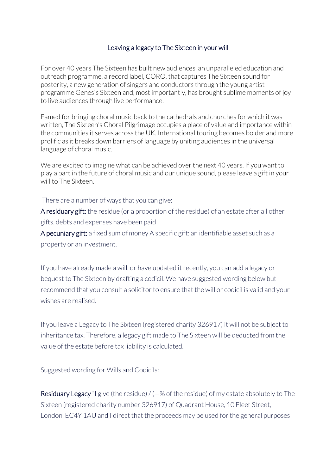## Leaving a legacy to The Sixteen in your will

For over 40 years The Sixteen has built new audiences, an unparalleled education and outreach programme, a record label, CORO, that captures The Sixteen sound for posterity, a new generation of singers and conductors through the young artist programme Genesis Sixteen and, most importantly, has brought sublime moments of joy to live audiences through live performance.

Famed for bringing choral music back to the cathedrals and churches for which it was written, The Sixteen's Choral Pilgrimage occupies a place of value and importance within the communities it serves across the UK. International touring becomes bolder and more prolific as it breaks down barriers of language by uniting audiences in the universal language of choral music.

We are excited to imagine what can be achieved over the next 40 years. If you want to play a part in the future of choral music and our unique sound, please leave a gift in your will to The Sixteen.

There are a number of ways that you can give:

A residuary gift: the residue (or a proportion of the residue) of an estate after all other gifts, debts and expenses have been paid

A pecuniary gift: a fixed sum of money A specific gift: an identifiable asset such as a property or an investment.

If you have already made a will, or have updated it recently, you can add a legacy or bequest to The Sixteen by drafting a codicil. We have suggested wording below but recommend that you consult a solicitor to ensure that the will or codicil is valid and your wishes are realised.

If you leave a Legacy to The Sixteen (registered charity 326917) it will not be subject to inheritance tax. Therefore, a legacy gift made to The Sixteen will be deducted from the value of the estate before tax liability is calculated.

Suggested wording for Wills and Codicils:

**Residuary Legacy** "I give (the residue) /  $(-\%$  of the residue) of my estate absolutely to The Sixteen (registered charity number 326917) of Quadrant House, 10 Fleet Street, London, EC4Y 1AU and I direct that the proceeds may be used for the general purposes